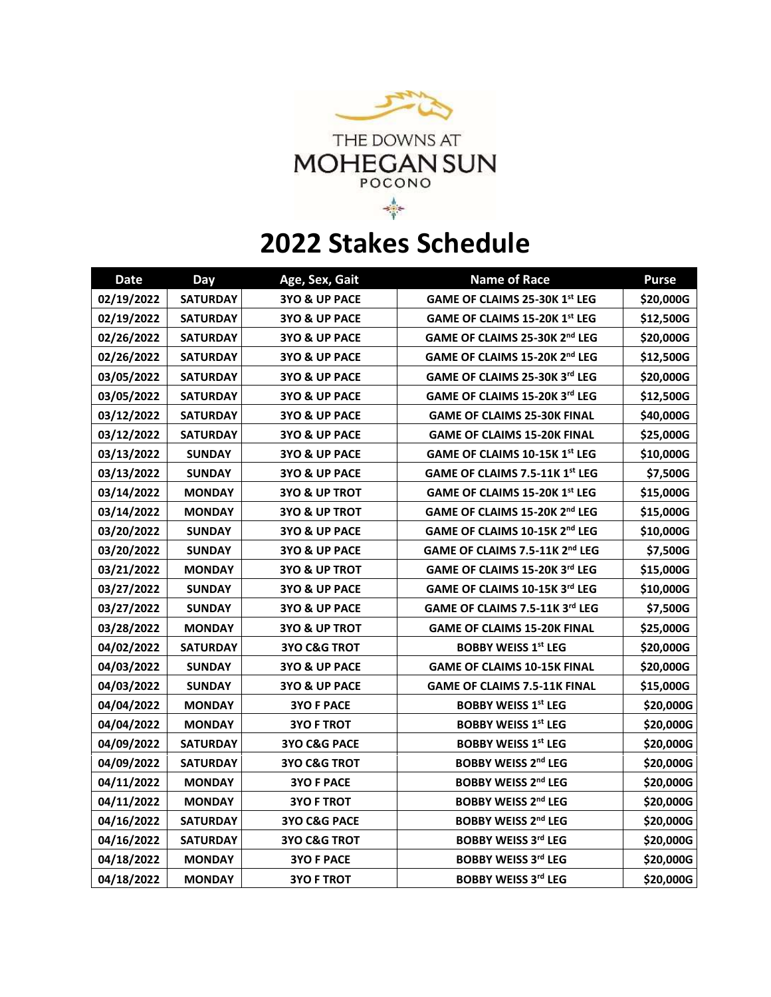

## **2022 Stakes Schedule**

| <b>Date</b> | Day             | Age, Sex, Gait           | <b>Name of Race</b>                        | <b>Purse</b> |
|-------------|-----------------|--------------------------|--------------------------------------------|--------------|
| 02/19/2022  | <b>SATURDAY</b> | 3YO & UP PACE            | GAME OF CLAIMS 25-30K 1st LEG              | \$20,000G    |
| 02/19/2022  | <b>SATURDAY</b> | 3YO & UP PACE            | GAME OF CLAIMS 15-20K 1st LEG              | \$12,500G    |
| 02/26/2022  | <b>SATURDAY</b> | 3YO & UP PACE            | GAME OF CLAIMS 25-30K 2nd LEG              | \$20,000G    |
| 02/26/2022  | <b>SATURDAY</b> | 3YO & UP PACE            | GAME OF CLAIMS 15-20K 2nd LEG              | \$12,500G    |
| 03/05/2022  | <b>SATURDAY</b> | 3YO & UP PACE            | GAME OF CLAIMS 25-30K 3rd LEG              | \$20,000G    |
| 03/05/2022  | <b>SATURDAY</b> | 3YO & UP PACE            | GAME OF CLAIMS 15-20K 3rd LEG              | \$12,500G    |
| 03/12/2022  | <b>SATURDAY</b> | 3YO & UP PACE            | <b>GAME OF CLAIMS 25-30K FINAL</b>         | \$40,000G    |
| 03/12/2022  | <b>SATURDAY</b> | 3YO & UP PACE            | <b>GAME OF CLAIMS 15-20K FINAL</b>         | \$25,000G    |
| 03/13/2022  | <b>SUNDAY</b>   | 3YO & UP PACE            | GAME OF CLAIMS 10-15K 1st LEG              | \$10,000G    |
| 03/13/2022  | <b>SUNDAY</b>   | 3YO & UP PACE            | GAME OF CLAIMS 7.5-11K 1st LEG             | \$7,500G     |
| 03/14/2022  | <b>MONDAY</b>   | <b>3YO &amp; UP TROT</b> | GAME OF CLAIMS 15-20K 1st LEG              | \$15,000G    |
| 03/14/2022  | <b>MONDAY</b>   | <b>3YO &amp; UP TROT</b> | GAME OF CLAIMS 15-20K 2 <sup>nd</sup> LEG  | \$15,000G    |
| 03/20/2022  | <b>SUNDAY</b>   | 3YO & UP PACE            | GAME OF CLAIMS 10-15K 2nd LEG              | \$10,000G    |
| 03/20/2022  | <b>SUNDAY</b>   | 3YO & UP PACE            | GAME OF CLAIMS 7.5-11K 2 <sup>nd</sup> LEG | \$7,500G     |
| 03/21/2022  | <b>MONDAY</b>   | <b>3YO &amp; UP TROT</b> | GAME OF CLAIMS 15-20K 3rd LEG              | \$15,000G    |
| 03/27/2022  | <b>SUNDAY</b>   | 3YO & UP PACE            | GAME OF CLAIMS 10-15K 3rd LEG              | \$10,000G    |
| 03/27/2022  | <b>SUNDAY</b>   | 3YO & UP PACE            | GAME OF CLAIMS 7.5-11K 3rd LEG             | \$7,500G     |
| 03/28/2022  | <b>MONDAY</b>   | <b>3YO &amp; UP TROT</b> | <b>GAME OF CLAIMS 15-20K FINAL</b>         | \$25,000G    |
| 04/02/2022  | <b>SATURDAY</b> | <b>3YO C&amp;G TROT</b>  | <b>BOBBY WEISS 1st LEG</b>                 | \$20,000G    |
| 04/03/2022  | <b>SUNDAY</b>   | 3YO & UP PACE            | <b>GAME OF CLAIMS 10-15K FINAL</b>         | \$20,000G    |
| 04/03/2022  | <b>SUNDAY</b>   | 3YO & UP PACE            | <b>GAME OF CLAIMS 7.5-11K FINAL</b>        | \$15,000G    |
| 04/04/2022  | <b>MONDAY</b>   | <b>3YO F PACE</b>        | <b>BOBBY WEISS 1st LEG</b>                 | \$20,000G    |
| 04/04/2022  | <b>MONDAY</b>   | <b>3YO F TROT</b>        | <b>BOBBY WEISS 1st LEG</b>                 | \$20,000G    |
| 04/09/2022  | <b>SATURDAY</b> | 3YO C&G PACE             | <b>BOBBY WEISS 1st LEG</b>                 | \$20,000G    |
| 04/09/2022  | <b>SATURDAY</b> | <b>3YO C&amp;G TROT</b>  | <b>BOBBY WEISS 2nd LEG</b>                 | \$20,000G    |
| 04/11/2022  | <b>MONDAY</b>   | <b>3YO F PACE</b>        | <b>BOBBY WEISS 2nd LEG</b>                 | \$20,000G    |
| 04/11/2022  | <b>MONDAY</b>   | <b>3YO F TROT</b>        | <b>BOBBY WEISS 2nd LEG</b>                 | \$20,000G    |
| 04/16/2022  | <b>SATURDAY</b> | 3YO C&G PACE             | <b>BOBBY WEISS 2nd LEG</b>                 | \$20,000G    |
| 04/16/2022  | <b>SATURDAY</b> | <b>3YO C&amp;G TROT</b>  | <b>BOBBY WEISS 3rd LEG</b>                 | \$20,000G    |
| 04/18/2022  | <b>MONDAY</b>   | <b>3YO F PACE</b>        | <b>BOBBY WEISS 3rd LEG</b>                 | \$20,000G    |
| 04/18/2022  | <b>MONDAY</b>   | <b>3YO F TROT</b>        | <b>BOBBY WEISS 3rd LEG</b>                 | \$20,000G    |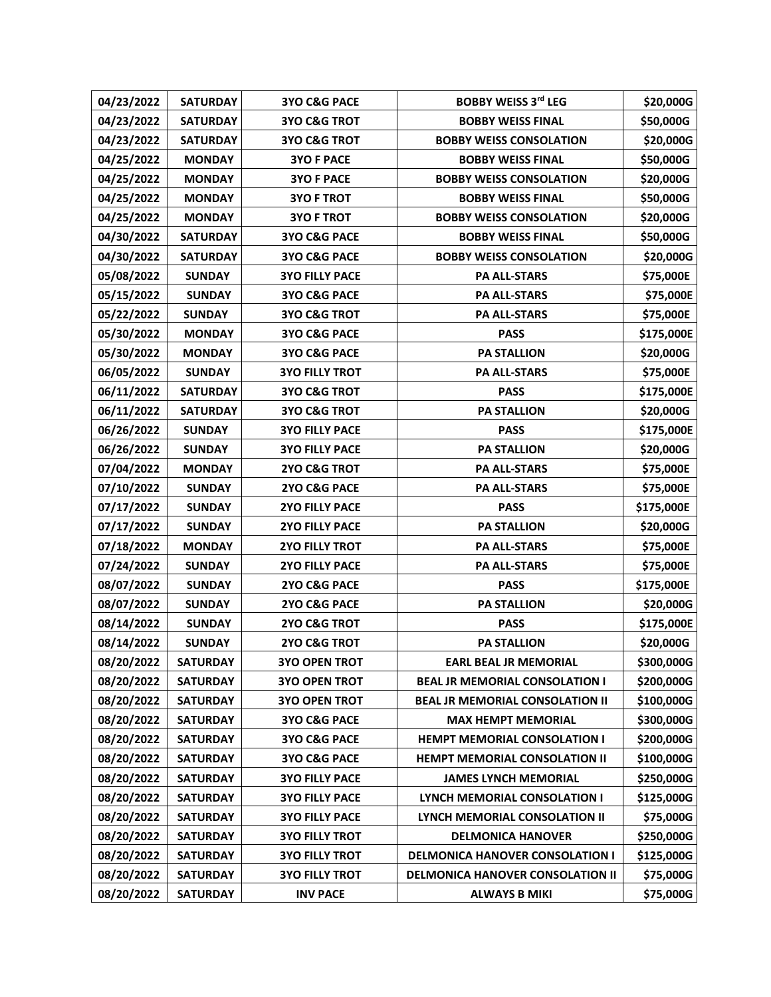| 04/23/2022 | <b>SATURDAY</b> | 3YO C&G PACE            | <b>BOBBY WEISS 3rd LEG</b>              | \$20,000G  |
|------------|-----------------|-------------------------|-----------------------------------------|------------|
| 04/23/2022 | <b>SATURDAY</b> | <b>3YO C&amp;G TROT</b> | <b>BOBBY WEISS FINAL</b>                | \$50,000G  |
| 04/23/2022 | <b>SATURDAY</b> | <b>3YO C&amp;G TROT</b> | <b>BOBBY WEISS CONSOLATION</b>          | \$20,000G  |
| 04/25/2022 | <b>MONDAY</b>   | <b>3YO F PACE</b>       | <b>BOBBY WEISS FINAL</b>                | \$50,000G  |
| 04/25/2022 | <b>MONDAY</b>   | <b>3YO F PACE</b>       | <b>BOBBY WEISS CONSOLATION</b>          | \$20,000G  |
| 04/25/2022 | <b>MONDAY</b>   | <b>3YO F TROT</b>       | <b>BOBBY WEISS FINAL</b>                | \$50,000G  |
| 04/25/2022 | <b>MONDAY</b>   | <b>3YO F TROT</b>       | <b>BOBBY WEISS CONSOLATION</b>          | \$20,000G  |
| 04/30/2022 | <b>SATURDAY</b> | <b>3YO C&amp;G PACE</b> | <b>BOBBY WEISS FINAL</b>                | \$50,000G  |
| 04/30/2022 | <b>SATURDAY</b> | <b>3YO C&amp;G PACE</b> | <b>BOBBY WEISS CONSOLATION</b>          | \$20,000G  |
| 05/08/2022 | <b>SUNDAY</b>   | <b>3YO FILLY PACE</b>   | <b>PA ALL-STARS</b>                     | \$75,000E  |
| 05/15/2022 | <b>SUNDAY</b>   | 3YO C&G PACE            | <b>PA ALL-STARS</b>                     | \$75,000E  |
| 05/22/2022 | <b>SUNDAY</b>   | <b>3YO C&amp;G TROT</b> | <b>PA ALL-STARS</b>                     | \$75,000E  |
| 05/30/2022 | <b>MONDAY</b>   | 3YO C&G PACE            | <b>PASS</b>                             | \$175,000E |
| 05/30/2022 | <b>MONDAY</b>   | 3YO C&G PACE            | <b>PA STALLION</b>                      | \$20,000G  |
| 06/05/2022 | <b>SUNDAY</b>   | <b>3YO FILLY TROT</b>   | <b>PA ALL-STARS</b>                     | \$75,000E  |
| 06/11/2022 | <b>SATURDAY</b> | <b>3YO C&amp;G TROT</b> | <b>PASS</b>                             | \$175,000E |
| 06/11/2022 | <b>SATURDAY</b> | <b>3YO C&amp;G TROT</b> | <b>PA STALLION</b>                      | \$20,000G  |
| 06/26/2022 | <b>SUNDAY</b>   | <b>3YO FILLY PACE</b>   | <b>PASS</b>                             | \$175,000E |
| 06/26/2022 | <b>SUNDAY</b>   | <b>3YO FILLY PACE</b>   | <b>PA STALLION</b>                      | \$20,000G  |
| 07/04/2022 | <b>MONDAY</b>   | 2YO C&G TROT            | <b>PA ALL-STARS</b>                     | \$75,000E  |
| 07/10/2022 | <b>SUNDAY</b>   | 2YO C&G PACE            | <b>PA ALL-STARS</b>                     | \$75,000E  |
| 07/17/2022 | <b>SUNDAY</b>   | <b>2YO FILLY PACE</b>   | <b>PASS</b>                             | \$175,000E |
| 07/17/2022 | <b>SUNDAY</b>   | <b>2YO FILLY PACE</b>   | <b>PA STALLION</b>                      | \$20,000G  |
| 07/18/2022 | <b>MONDAY</b>   | <b>2YO FILLY TROT</b>   | <b>PA ALL-STARS</b>                     | \$75,000E  |
| 07/24/2022 | <b>SUNDAY</b>   | <b>2YO FILLY PACE</b>   | <b>PA ALL-STARS</b>                     | \$75,000E  |
| 08/07/2022 | <b>SUNDAY</b>   | 2YO C&G PACE            | <b>PASS</b>                             | \$175,000E |
| 08/07/2022 | <b>SUNDAY</b>   | 2YO C&G PACE            | <b>PA STALLION</b>                      | \$20,000G  |
| 08/14/2022 | <b>SUNDAY</b>   | 2YO C&G TROT            | <b>PASS</b>                             | \$175,000E |
| 08/14/2022 | <b>SUNDAY</b>   | 2YO C&G TROT            | <b>PA STALLION</b>                      | \$20,000G  |
| 08/20/2022 | <b>SATURDAY</b> | <b>3YO OPEN TROT</b>    | <b>EARL BEAL JR MEMORIAL</b>            | \$300,000G |
| 08/20/2022 | <b>SATURDAY</b> | <b>3YO OPEN TROT</b>    | <b>BEAL JR MEMORIAL CONSOLATION I</b>   | \$200,000G |
| 08/20/2022 | <b>SATURDAY</b> | <b>3YO OPEN TROT</b>    | <b>BEAL JR MEMORIAL CONSOLATION II</b>  | \$100,000G |
| 08/20/2022 | <b>SATURDAY</b> | <b>3YO C&amp;G PACE</b> | <b>MAX HEMPT MEMORIAL</b>               | \$300,000G |
| 08/20/2022 | <b>SATURDAY</b> | <b>3YO C&amp;G PACE</b> | <b>HEMPT MEMORIAL CONSOLATION I</b>     | \$200,000G |
| 08/20/2022 | <b>SATURDAY</b> | <b>3YO C&amp;G PACE</b> | <b>HEMPT MEMORIAL CONSOLATION II</b>    | \$100,000G |
| 08/20/2022 | <b>SATURDAY</b> | <b>3YO FILLY PACE</b>   | <b>JAMES LYNCH MEMORIAL</b>             | \$250,000G |
| 08/20/2022 | <b>SATURDAY</b> | <b>3YO FILLY PACE</b>   | LYNCH MEMORIAL CONSOLATION I            | \$125,000G |
| 08/20/2022 | <b>SATURDAY</b> | <b>3YO FILLY PACE</b>   | <b>LYNCH MEMORIAL CONSOLATION II</b>    | \$75,000G  |
| 08/20/2022 | <b>SATURDAY</b> | <b>3YO FILLY TROT</b>   | <b>DELMONICA HANOVER</b>                | \$250,000G |
| 08/20/2022 | <b>SATURDAY</b> | <b>3YO FILLY TROT</b>   | <b>DELMONICA HANOVER CONSOLATION I</b>  | \$125,000G |
| 08/20/2022 | <b>SATURDAY</b> | <b>3YO FILLY TROT</b>   | <b>DELMONICA HANOVER CONSOLATION II</b> | \$75,000G  |
| 08/20/2022 | <b>SATURDAY</b> | <b>INV PACE</b>         | <b>ALWAYS B MIKI</b>                    | \$75,000G  |